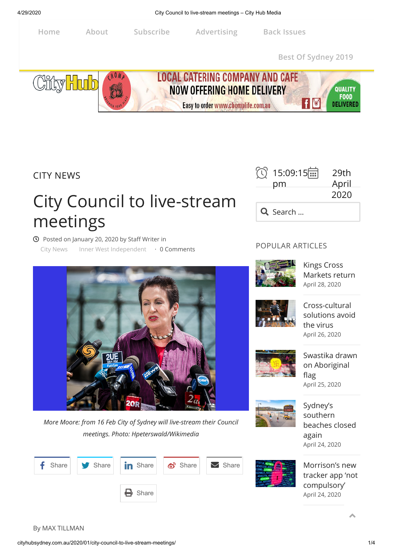

CITY NEWS

# City Council to live-stream meetings

**①** Posted on [January 20, 2020](http://cityhubsydney.com.au/2020/01/city-council-to-live-stream-meetings/) by Staff Writer in [City News](http://cityhubsydney.com.au/category/city-news/) [Inner West Independent](http://cityhubsydney.com.au/category/inner-west-independent/) · 0 Comments



*More Moore: from 16 Feb City of Sydney will live-stream their Council meetings. Photo: Hpeterswald/Wikimedia*





# POPULAR ARTICLES



Kings Cross [Markets return](http://cityhubsydney.com.au/2020/04/kings-cross-markets-return/) [April 28, 2020](http://cityhubsydney.com.au/2020/04/kings-cross-markets-return/)



Cross-cultural [solutions avoid](http://cityhubsydney.com.au/2020/04/cross-cultural-solutions-avoid-the-virus/) the virus [April 26, 2020](http://cityhubsydney.com.au/2020/04/cross-cultural-solutions-avoid-the-virus/)



[Swastika drawn](http://cityhubsydney.com.au/2020/04/swastika-drawn-on-aboriginal-flag/) on Aboriginal flag [April 25, 2020](http://cityhubsydney.com.au/2020/04/swastika-drawn-on-aboriginal-flag/)



Sydney's southern [beaches closed](http://cityhubsydney.com.au/2020/04/sydneys-southern-beaches-closed-again/) again [April 24, 2020](http://cityhubsydney.com.au/2020/04/sydneys-southern-beaches-closed-again/)

Morrison's new [tracker app 'not](http://cityhubsydney.com.au/2020/04/morrisons-new-tracker-app-not-compulsory/) compulsory' [April 24, 2020](http://cityhubsydney.com.au/2020/04/morrisons-new-tracker-app-not-compulsory/)

By MAX TILLMAN

 $\blacktriangle$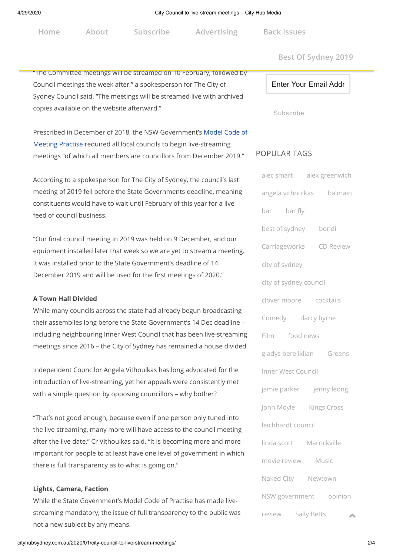$\mathbf{F}_{\mathbf{e}}$  end that has seen ind[ependent and liberal](http://cityhubsydney.com.au/advertising-with-city-hub-media/) seen independent and liberal seen independent and liberal seen in **Home About Subscribe Advertising** 

**Back Issues** 

**Best Of Sydney 2019**

## "The Committee meetings will be streamed on 10 February, followed by

Council meetings the week after," a spokesperson for The City of Sydney Council said. "The meetings will be streamed live with archived copies available on the website afterward."

[Prescribed in December of 2018, the NSW Government's Model Code of](https://www.olg.nsw.gov.au/content/model-code-meeting-practice-local-councils-nsw) Meeting Practise required all local councils to begin live-streaming meetings "of which all members are councillors from December 2019."

According to a spokesperson for The City of Sydney, the council's last meeting of 2019 fell before the State Governments deadline, meaning constituents would have to wait until February of this year for a livefeed of council business.

"Our final council meeting in 2019 was held on 9 December, and our equipment installed later that week so we are yet to stream a meeting. It was installed prior to the State Government's deadline of 14 December 2019 and will be used for the first meetings of 2020."

#### **A Town Hall Divided**

While many councils across the state had already begun broadcasting their assemblies long before the State Government's 14 Dec deadline – including neighbouring Inner West Council that has been live-streaming meetings since 2016 – the City of Sydney has remained a house divided.

Independent Councilor Angela Vithoulkas has long advocated for the introduction of live-streaming, yet her appeals were consistently met with a simple question by opposing councillors – why bother?

"That's not good enough, because even if one person only tuned into the live streaming, many more will have access to the council meeting after the live date," Cr Vithoulkas said. "It is becoming more and more important for people to at least have one level of government in which there is full transparency as to what is going on."

## **Lights, Camera, Faction**

While the State Government's Model Code of Practise has made livestreaming mandatory, the issue of full transparency to the public was not a new subject by any means.

Enter Your Email Addr

Subscribe

## POPULAR TAGS

| alec smart alex greenwich |
|---------------------------|
| angela vithoulkas balmain |
| bar bar fly               |
| best of sydney bondi      |
| Carriageworks CD Review   |
| city of sydney            |
| city of sydney council    |
| clover moore cocktails    |
| Comedy darcy byrne        |
| Film food news            |
| gladys berejiklian Greens |
| Inner West Council        |
| jamie parker jenny leong  |
| John Moyle Kings Cross    |
| leichhardt council        |
| linda scott Marrickville  |
| movie review Music        |
| Naked City Newtown        |
| NSW government<br>opinion |
| review<br>Sally Betts     |